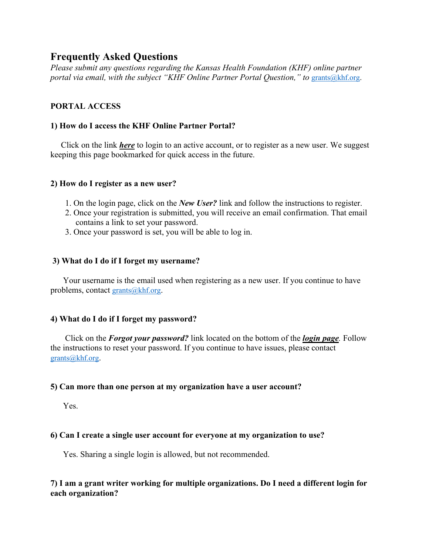# **Frequently Asked Questions**

*Please submit any questions regarding the Kansas Health Foundation (KHF) online partner portal via email, with the subject "KHF Online Partner Portal Question," to [grants@khf.org.](mailto:grants@khf.org)* 

## **PORTAL ACCESS**

## **1) How do I access the KHF Online Partner Portal?**

 Click on the link *[here](https://kansashealth.force.com/grantee/s/login/?ec=302&startURL=%2Fgrantee%2Fs%2F)* to login to an active account, or to register as a new user. We suggest keeping this page bookmarked for quick access in the future.

## **2) How do I register as a new user?**

- 1. On the login page, click on the *New User?* link and follow the instructions to register.
- 2. Once your registration is submitted, you will receive an email confirmation. That email contains a link to set your password.
- 3. Once your password is set, you will be able to log in.

## **3) What do I do if I forget my username?**

 Your username is the email used when registering as a new user. If you continue to have problems, contact [grants@khf.org.](mailto:grants@khf.org)

## **4) What do I do if I forget my password?**

 Click on the *Forgot your password?* link located on the bottom of the *[login page](https://kansashealth.force.com/grantee/s/login/?ec=302&startURL=%2Fgrantee%2Fs%2F).* Follow the instructions to reset your password. If you continue to have issues, please contact [grants@khf.org.](mailto:grants@khf.org)

## **5) Can more than one person at my organization have a user account?**

Yes.

## **6) Can I create a single user account for everyone at my organization to use?**

Yes. Sharing a single login is allowed, but not recommended.

## **7) I am a grant writer working for multiple organizations. Do I need a different login for each organization?**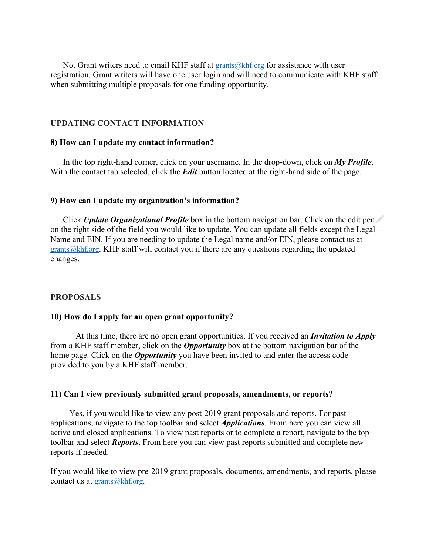No. Grant writers need to email KHF staff at  $grants@khf.org$  for assistance with user registration. Grant writers will have one user login and will need to communicate with KHF staff when submitting multiple proposals for one funding opportunity.

### **UPDATING CONTACT INFORMATION**

#### **8) How can I update my contact information?**

 In the top right-hand corner, click on your username. In the drop-down, click on *My Profile*. With the contact tab selected, click the *Edit* button located at the right-hand side of the page.

#### **9) How can I update my organization's information?**

 Click *Update Organizational Profile* box in the bottom navigation bar. Click on the edit pen on the right side of the field you would like to update. You can update all fields except the Legal Name and EIN. If you are needing to update the Legal name and/or EIN, please contact us at [grants@khf.org.](mailto:grants@khf.org) KHF staff will contact you if there are any questions regarding the updated changes.

#### **PROPOSALS**

#### **10) How do I apply for an open grant opportunity?**

At this time, there are no open grant opportunities. If you received an *Invitation to Apply* from a KHF staff member, click on the *Opportunity* box at the bottom navigation bar of the home page. Click on the *Opportunity* you have been invited to and enter the access code provided to you by a KHF staff member.

#### **11) Can I view previously submitted grant proposals, amendments, or reports?**

 Yes, if you would like to view any post-2019 grant proposals and reports. For past applications, navigate to the top toolbar and select *Applications*. From here you can view all active and closed applications. To view past reports or to complete a report, navigate to the top toolbar and select *Reports*. From here you can view past reports submitted and complete new reports if needed.

If you would like to view pre-2019 grant proposals, documents, amendments, and reports, please contact us at  $grants@khf.org.$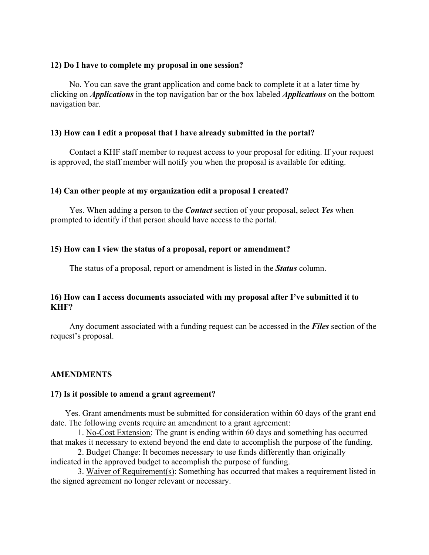#### **12) Do I have to complete my proposal in one session?**

 No. You can save the grant application and come back to complete it at a later time by clicking on *Applications* in the top navigation bar or the box labeled *Applications* on the bottom navigation bar.

#### **13) How can I edit a proposal that I have already submitted in the portal?**

 Contact a KHF staff member to request access to your proposal for editing. If your request is approved, the staff member will notify you when the proposal is available for editing.

#### **14) Can other people at my organization edit a proposal I created?**

 Yes. When adding a person to the *Contact* section of your proposal, select *Yes* when prompted to identify if that person should have access to the portal.

#### **15) How can I view the status of a proposal, report or amendment?**

The status of a proposal, report or amendment is listed in the *Status* column.

### **16) How can I access documents associated with my proposal after I've submitted it to KHF?**

 Any document associated with a funding request can be accessed in the *Files* section of the request's proposal.

#### **AMENDMENTS**

#### **17) Is it possible to amend a grant agreement?**

 Yes. Grant amendments must be submitted for consideration within 60 days of the grant end date. The following events require an amendment to a grant agreement:

 1. No-Cost Extension: The grant is ending within 60 days and something has occurred that makes it necessary to extend beyond the end date to accomplish the purpose of the funding.

 2. Budget Change: It becomes necessary to use funds differently than originally indicated in the approved budget to accomplish the purpose of funding.

 3. Waiver of Requirement(s): Something has occurred that makes a requirement listed in the signed agreement no longer relevant or necessary.